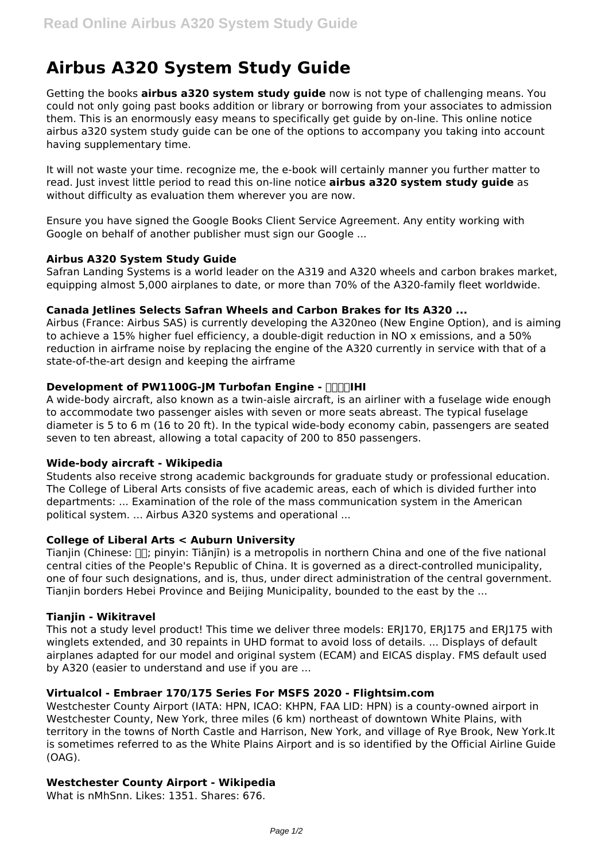# **Airbus A320 System Study Guide**

Getting the books **airbus a320 system study guide** now is not type of challenging means. You could not only going past books addition or library or borrowing from your associates to admission them. This is an enormously easy means to specifically get guide by on-line. This online notice airbus a320 system study guide can be one of the options to accompany you taking into account having supplementary time.

It will not waste your time. recognize me, the e-book will certainly manner you further matter to read. Just invest little period to read this on-line notice **airbus a320 system study guide** as without difficulty as evaluation them wherever you are now.

Ensure you have signed the Google Books Client Service Agreement. Any entity working with Google on behalf of another publisher must sign our Google ...

# **Airbus A320 System Study Guide**

Safran Landing Systems is a world leader on the A319 and A320 wheels and carbon brakes market, equipping almost 5,000 airplanes to date, or more than 70% of the A320-family fleet worldwide.

## **Canada Jetlines Selects Safran Wheels and Carbon Brakes for Its A320 ...**

Airbus (France: Airbus SAS) is currently developing the A320neo (New Engine Option), and is aiming to achieve a 15% higher fuel efficiency, a double-digit reduction in NO x emissions, and a 50% reduction in airframe noise by replacing the engine of the A320 currently in service with that of a state-of-the-art design and keeping the airframe

## **Development of PW1100G-IM Turbofan Engine - RIMIHI**

A wide-body aircraft, also known as a twin-aisle aircraft, is an airliner with a fuselage wide enough to accommodate two passenger aisles with seven or more seats abreast. The typical fuselage diameter is 5 to 6 m (16 to 20 ft). In the typical wide-body economy cabin, passengers are seated seven to ten abreast, allowing a total capacity of 200 to 850 passengers.

#### **Wide-body aircraft - Wikipedia**

Students also receive strong academic backgrounds for graduate study or professional education. The College of Liberal Arts consists of five academic areas, each of which is divided further into departments: ... Examination of the role of the mass communication system in the American political system. ... Airbus A320 systems and operational ...

#### **College of Liberal Arts < Auburn University**

Tianjin (Chinese:  $\prod$ ; pinyin: Tiānjīn) is a metropolis in northern China and one of the five national central cities of the People's Republic of China. It is governed as a direct-controlled municipality, one of four such designations, and is, thus, under direct administration of the central government. Tianjin borders Hebei Province and Beijing Municipality, bounded to the east by the ...

#### **Tianjin - Wikitravel**

This not a study level product! This time we deliver three models: ERJ170, ERJ175 and ERJ175 with winglets extended, and 30 repaints in UHD format to avoid loss of details. ... Displays of default airplanes adapted for our model and original system (ECAM) and EICAS display. FMS default used by A320 (easier to understand and use if you are ...

#### **Virtualcol - Embraer 170/175 Series For MSFS 2020 - Flightsim.com**

Westchester County Airport (IATA: HPN, ICAO: KHPN, FAA LID: HPN) is a county-owned airport in Westchester County, New York, three miles (6 km) northeast of downtown White Plains, with territory in the towns of North Castle and Harrison, New York, and village of Rye Brook, New York.It is sometimes referred to as the White Plains Airport and is so identified by the Official Airline Guide (OAG).

# **Westchester County Airport - Wikipedia**

What is nMhSnn. Likes: 1351. Shares: 676.